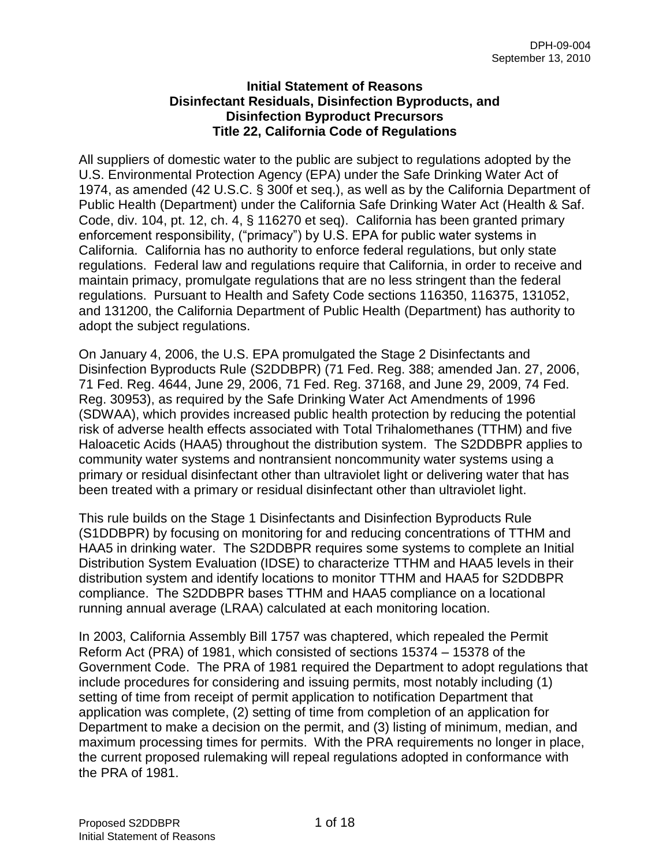### **Initial Statement of Reasons Disinfectant Residuals, Disinfection Byproducts, and Disinfection Byproduct Precursors Title 22, California Code of Regulations**

All suppliers of domestic water to the public are subject to regulations adopted by the U.S. Environmental Protection Agency (EPA) under the Safe Drinking Water Act of 1974, as amended (42 U.S.C. § 300f et seq.), as well as by the California Department of Public Health (Department) under the California Safe Drinking Water Act (Health & Saf. Code, div. 104, pt. 12, ch. 4, § 116270 et seq). California has been granted primary enforcement responsibility, ("primacy") by U.S. EPA for public water systems in California. California has no authority to enforce federal regulations, but only state regulations. Federal law and regulations require that California, in order to receive and maintain primacy, promulgate regulations that are no less stringent than the federal regulations. Pursuant to Health and Safety Code sections 116350, 116375, 131052, and 131200, the California Department of Public Health (Department) has authority to adopt the subject regulations.

On January 4, 2006, the U.S. EPA promulgated the Stage 2 Disinfectants and Disinfection Byproducts Rule (S2DDBPR) (71 Fed. Reg. 388; amended Jan. 27, 2006, 71 Fed. Reg. 4644, June 29, 2006, 71 Fed. Reg. 37168, and June 29, 2009, 74 Fed. Reg. 30953), as required by the Safe Drinking Water Act Amendments of 1996 (SDWAA), which provides increased public health protection by reducing the potential risk of adverse health effects associated with Total Trihalomethanes (TTHM) and five Haloacetic Acids (HAA5) throughout the distribution system. The S2DDBPR applies to community water systems and nontransient noncommunity water systems using a primary or residual disinfectant other than ultraviolet light or delivering water that has been treated with a primary or residual disinfectant other than ultraviolet light.

This rule builds on the Stage 1 Disinfectants and Disinfection Byproducts Rule (S1DDBPR) by focusing on monitoring for and reducing concentrations of TTHM and HAA5 in drinking water. The S2DDBPR requires some systems to complete an Initial Distribution System Evaluation (IDSE) to characterize TTHM and HAA5 levels in their distribution system and identify locations to monitor TTHM and HAA5 for S2DDBPR compliance. The S2DDBPR bases TTHM and HAA5 compliance on a locational running annual average (LRAA) calculated at each monitoring location.

In 2003, California Assembly Bill 1757 was chaptered, which repealed the Permit Reform Act (PRA) of 1981, which consisted of sections 15374 – 15378 of the Government Code. The PRA of 1981 required the Department to adopt regulations that include procedures for considering and issuing permits, most notably including (1) setting of time from receipt of permit application to notification Department that application was complete, (2) setting of time from completion of an application for Department to make a decision on the permit, and (3) listing of minimum, median, and maximum processing times for permits. With the PRA requirements no longer in place, the current proposed rulemaking will repeal regulations adopted in conformance with the PRA of 1981.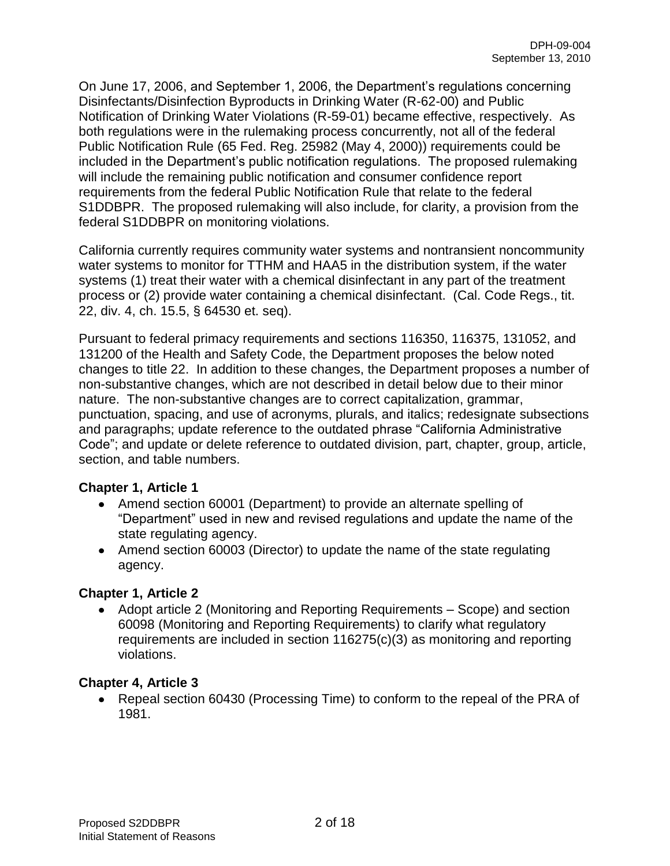On June 17, 2006, and September 1, 2006, the Department's regulations concerning Disinfectants/Disinfection Byproducts in Drinking Water (R-62-00) and Public Notification of Drinking Water Violations (R-59-01) became effective, respectively. As both regulations were in the rulemaking process concurrently, not all of the federal Public Notification Rule (65 Fed. Reg. 25982 (May 4, 2000)) requirements could be included in the Department's public notification regulations. The proposed rulemaking will include the remaining public notification and consumer confidence report requirements from the federal Public Notification Rule that relate to the federal S1DDBPR. The proposed rulemaking will also include, for clarity, a provision from the federal S1DDBPR on monitoring violations.

California currently requires community water systems and nontransient noncommunity water systems to monitor for TTHM and HAA5 in the distribution system, if the water systems (1) treat their water with a chemical disinfectant in any part of the treatment process or (2) provide water containing a chemical disinfectant. (Cal. Code Regs., tit. 22, div. 4, ch. 15.5, § 64530 et. seq).

Pursuant to federal primacy requirements and sections 116350, 116375, 131052, and 131200 of the Health and Safety Code, the Department proposes the below noted changes to title 22. In addition to these changes, the Department proposes a number of non-substantive changes, which are not described in detail below due to their minor nature. The non-substantive changes are to correct capitalization, grammar, punctuation, spacing, and use of acronyms, plurals, and italics; redesignate subsections and paragraphs; update reference to the outdated phrase "California Administrative Code"; and update or delete reference to outdated division, part, chapter, group, article, section, and table numbers.

### **Chapter 1, Article 1**

- Amend section 60001 (Department) to provide an alternate spelling of "Department" used in new and revised regulations and update the name of the state regulating agency.
- Amend section 60003 (Director) to update the name of the state regulating agency.

### **Chapter 1, Article 2**

Adopt article 2 (Monitoring and Reporting Requirements – Scope) and section 60098 (Monitoring and Reporting Requirements) to clarify what regulatory requirements are included in section 116275(c)(3) as monitoring and reporting violations.

### **Chapter 4, Article 3**

• Repeal section 60430 (Processing Time) to conform to the repeal of the PRA of 1981.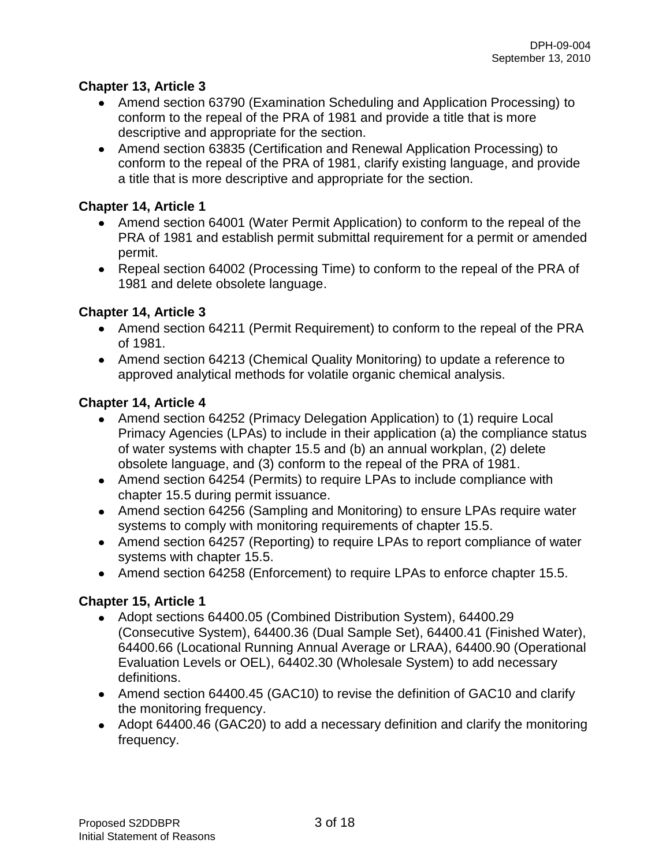## **Chapter 13, Article 3**

- Amend section 63790 (Examination Scheduling and Application Processing) to conform to the repeal of the PRA of 1981 and provide a title that is more descriptive and appropriate for the section.
- Amend section 63835 (Certification and Renewal Application Processing) to conform to the repeal of the PRA of 1981, clarify existing language, and provide a title that is more descriptive and appropriate for the section.

## **Chapter 14, Article 1**

- Amend section 64001 (Water Permit Application) to conform to the repeal of the PRA of 1981 and establish permit submittal requirement for a permit or amended permit.
- Repeal section 64002 (Processing Time) to conform to the repeal of the PRA of 1981 and delete obsolete language.

## **Chapter 14, Article 3**

- Amend section 64211 (Permit Requirement) to conform to the repeal of the PRA of 1981.
- Amend section 64213 (Chemical Quality Monitoring) to update a reference to approved analytical methods for volatile organic chemical analysis.

## **Chapter 14, Article 4**

- Amend section 64252 (Primacy Delegation Application) to (1) require Local Primacy Agencies (LPAs) to include in their application (a) the compliance status of water systems with chapter 15.5 and (b) an annual workplan, (2) delete obsolete language, and (3) conform to the repeal of the PRA of 1981.
- Amend section 64254 (Permits) to require LPAs to include compliance with chapter 15.5 during permit issuance.
- Amend section 64256 (Sampling and Monitoring) to ensure LPAs require water systems to comply with monitoring requirements of chapter 15.5.
- Amend section 64257 (Reporting) to require LPAs to report compliance of water systems with chapter 15.5.
- Amend section 64258 (Enforcement) to require LPAs to enforce chapter 15.5.

# **Chapter 15, Article 1**

- Adopt sections 64400.05 (Combined Distribution System), 64400.29 (Consecutive System), 64400.36 (Dual Sample Set), 64400.41 (Finished Water), 64400.66 (Locational Running Annual Average or LRAA), 64400.90 (Operational Evaluation Levels or OEL), 64402.30 (Wholesale System) to add necessary definitions.
- Amend section 64400.45 (GAC10) to revise the definition of GAC10 and clarify the monitoring frequency.
- Adopt 64400.46 (GAC20) to add a necessary definition and clarify the monitoring frequency.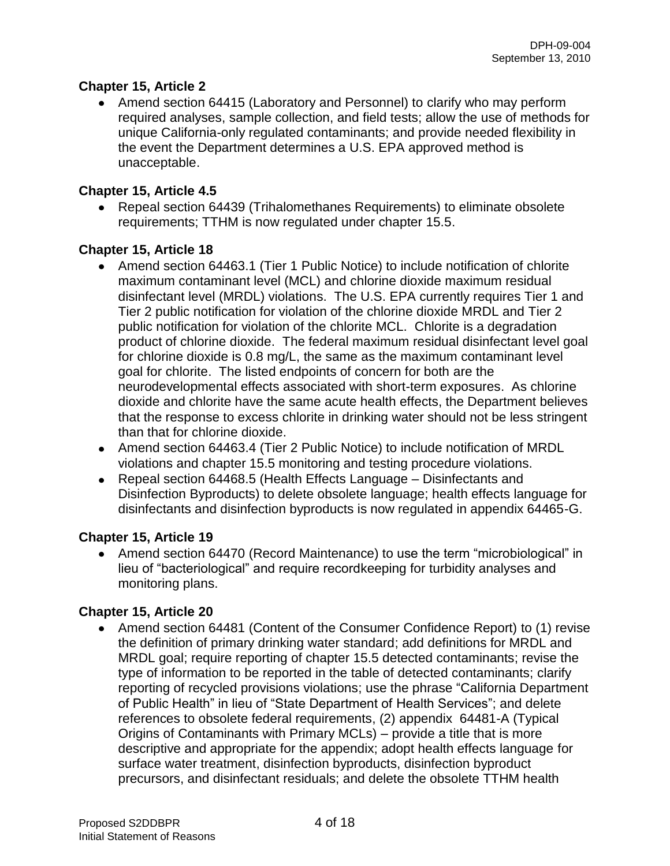## **Chapter 15, Article 2**

• Amend section 64415 (Laboratory and Personnel) to clarify who may perform required analyses, sample collection, and field tests; allow the use of methods for unique California-only regulated contaminants; and provide needed flexibility in the event the Department determines a U.S. EPA approved method is unacceptable.

## **Chapter 15, Article 4.5**

Repeal section 64439 (Trihalomethanes Requirements) to eliminate obsolete requirements; TTHM is now regulated under chapter 15.5.

## **Chapter 15, Article 18**

- Amend section 64463.1 (Tier 1 Public Notice) to include notification of chlorite maximum contaminant level (MCL) and chlorine dioxide maximum residual disinfectant level (MRDL) violations. The U.S. EPA currently requires Tier 1 and Tier 2 public notification for violation of the chlorine dioxide MRDL and Tier 2 public notification for violation of the chlorite MCL. Chlorite is a degradation product of chlorine dioxide. The federal maximum residual disinfectant level goal for chlorine dioxide is 0.8 mg/L, the same as the maximum contaminant level goal for chlorite. The listed endpoints of concern for both are the neurodevelopmental effects associated with short-term exposures. As chlorine dioxide and chlorite have the same acute health effects, the Department believes that the response to excess chlorite in drinking water should not be less stringent than that for chlorine dioxide.
- Amend section 64463.4 (Tier 2 Public Notice) to include notification of MRDL violations and chapter 15.5 monitoring and testing procedure violations.
- Repeal section 64468.5 (Health Effects Language Disinfectants and Disinfection Byproducts) to delete obsolete language; health effects language for disinfectants and disinfection byproducts is now regulated in appendix 64465-G.

### **Chapter 15, Article 19**

• Amend section 64470 (Record Maintenance) to use the term "microbiological" in lieu of "bacteriological" and require recordkeeping for turbidity analyses and monitoring plans.

# **Chapter 15, Article 20**

Amend section 64481 (Content of the Consumer Confidence Report) to (1) revise the definition of primary drinking water standard; add definitions for MRDL and MRDL goal; require reporting of chapter 15.5 detected contaminants; revise the type of information to be reported in the table of detected contaminants; clarify reporting of recycled provisions violations; use the phrase "California Department of Public Health" in lieu of "State Department of Health Services"; and delete references to obsolete federal requirements, (2) appendix 64481-A (Typical Origins of Contaminants with Primary MCLs) – provide a title that is more descriptive and appropriate for the appendix; adopt health effects language for surface water treatment, disinfection byproducts, disinfection byproduct precursors, and disinfectant residuals; and delete the obsolete TTHM health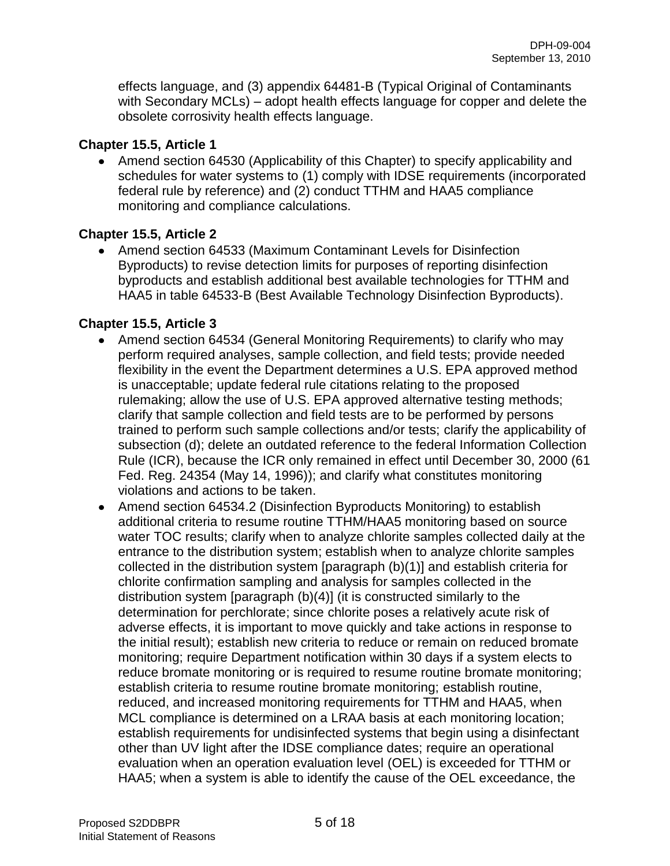effects language, and (3) appendix 64481-B (Typical Original of Contaminants with Secondary MCLs) – adopt health effects language for copper and delete the obsolete corrosivity health effects language.

### **Chapter 15.5, Article 1**

• Amend section 64530 (Applicability of this Chapter) to specify applicability and schedules for water systems to (1) comply with IDSE requirements (incorporated federal rule by reference) and (2) conduct TTHM and HAA5 compliance monitoring and compliance calculations.

# **Chapter 15.5, Article 2**

Amend section 64533 (Maximum Contaminant Levels for Disinfection Byproducts) to revise detection limits for purposes of reporting disinfection byproducts and establish additional best available technologies for TTHM and HAA5 in table 64533-B (Best Available Technology Disinfection Byproducts).

# **Chapter 15.5, Article 3**

- Amend section 64534 (General Monitoring Requirements) to clarify who may perform required analyses, sample collection, and field tests; provide needed flexibility in the event the Department determines a U.S. EPA approved method is unacceptable; update federal rule citations relating to the proposed rulemaking; allow the use of U.S. EPA approved alternative testing methods; clarify that sample collection and field tests are to be performed by persons trained to perform such sample collections and/or tests; clarify the applicability of subsection (d); delete an outdated reference to the federal Information Collection Rule (ICR), because the ICR only remained in effect until December 30, 2000 (61 Fed. Reg. 24354 (May 14, 1996)); and clarify what constitutes monitoring violations and actions to be taken.
- Amend section 64534.2 (Disinfection Byproducts Monitoring) to establish additional criteria to resume routine TTHM/HAA5 monitoring based on source water TOC results; clarify when to analyze chlorite samples collected daily at the entrance to the distribution system; establish when to analyze chlorite samples collected in the distribution system [paragraph (b)(1)] and establish criteria for chlorite confirmation sampling and analysis for samples collected in the distribution system [paragraph (b)(4)] (it is constructed similarly to the determination for perchlorate; since chlorite poses a relatively acute risk of adverse effects, it is important to move quickly and take actions in response to the initial result); establish new criteria to reduce or remain on reduced bromate monitoring; require Department notification within 30 days if a system elects to reduce bromate monitoring or is required to resume routine bromate monitoring; establish criteria to resume routine bromate monitoring; establish routine, reduced, and increased monitoring requirements for TTHM and HAA5, when MCL compliance is determined on a LRAA basis at each monitoring location; establish requirements for undisinfected systems that begin using a disinfectant other than UV light after the IDSE compliance dates; require an operational evaluation when an operation evaluation level (OEL) is exceeded for TTHM or HAA5; when a system is able to identify the cause of the OEL exceedance, the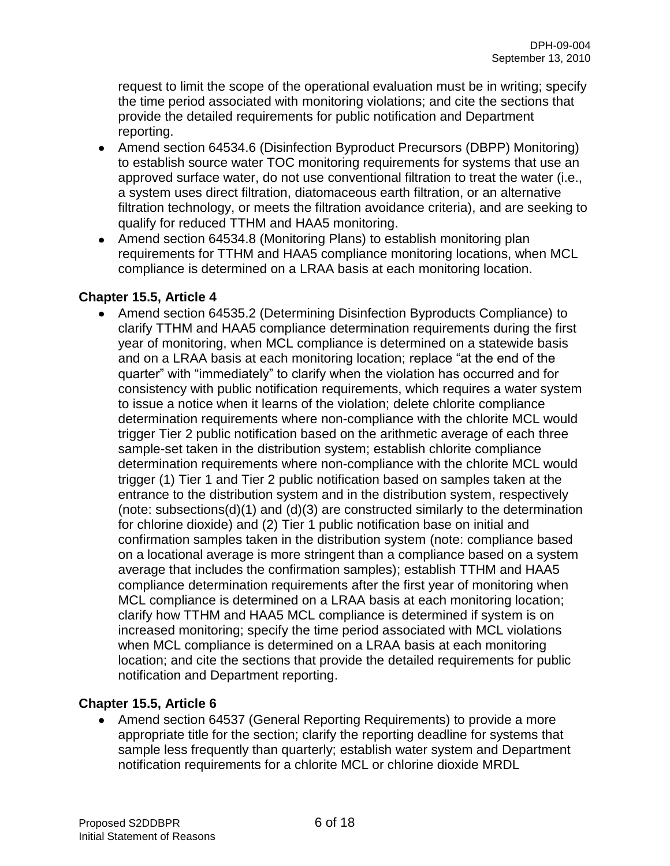request to limit the scope of the operational evaluation must be in writing; specify the time period associated with monitoring violations; and cite the sections that provide the detailed requirements for public notification and Department reporting.

- Amend section 64534.6 (Disinfection Byproduct Precursors (DBPP) Monitoring) to establish source water TOC monitoring requirements for systems that use an approved surface water, do not use conventional filtration to treat the water (i.e., a system uses direct filtration, diatomaceous earth filtration, or an alternative filtration technology, or meets the filtration avoidance criteria), and are seeking to qualify for reduced TTHM and HAA5 monitoring.
- Amend section 64534.8 (Monitoring Plans) to establish monitoring plan requirements for TTHM and HAA5 compliance monitoring locations, when MCL compliance is determined on a LRAA basis at each monitoring location.

### **Chapter 15.5, Article 4**

Amend section 64535.2 (Determining Disinfection Byproducts Compliance) to clarify TTHM and HAA5 compliance determination requirements during the first year of monitoring, when MCL compliance is determined on a statewide basis and on a LRAA basis at each monitoring location; replace "at the end of the quarter" with "immediately" to clarify when the violation has occurred and for consistency with public notification requirements, which requires a water system to issue a notice when it learns of the violation; delete chlorite compliance determination requirements where non-compliance with the chlorite MCL would trigger Tier 2 public notification based on the arithmetic average of each three sample-set taken in the distribution system; establish chlorite compliance determination requirements where non-compliance with the chlorite MCL would trigger (1) Tier 1 and Tier 2 public notification based on samples taken at the entrance to the distribution system and in the distribution system, respectively (note: subsections(d)(1) and (d)(3) are constructed similarly to the determination for chlorine dioxide) and (2) Tier 1 public notification base on initial and confirmation samples taken in the distribution system (note: compliance based on a locational average is more stringent than a compliance based on a system average that includes the confirmation samples); establish TTHM and HAA5 compliance determination requirements after the first year of monitoring when MCL compliance is determined on a LRAA basis at each monitoring location; clarify how TTHM and HAA5 MCL compliance is determined if system is on increased monitoring; specify the time period associated with MCL violations when MCL compliance is determined on a LRAA basis at each monitoring location; and cite the sections that provide the detailed requirements for public notification and Department reporting.

# **Chapter 15.5, Article 6**

• Amend section 64537 (General Reporting Requirements) to provide a more appropriate title for the section; clarify the reporting deadline for systems that sample less frequently than quarterly; establish water system and Department notification requirements for a chlorite MCL or chlorine dioxide MRDL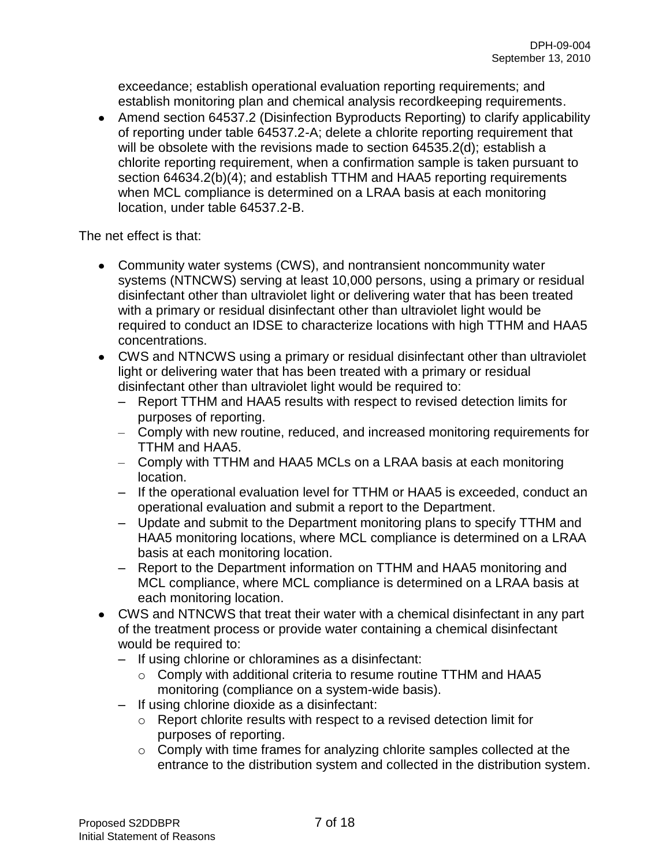exceedance; establish operational evaluation reporting requirements; and establish monitoring plan and chemical analysis recordkeeping requirements.

• Amend section 64537.2 (Disinfection Byproducts Reporting) to clarify applicability of reporting under table 64537.2-A; delete a chlorite reporting requirement that will be obsolete with the revisions made to section 64535.2(d); establish a chlorite reporting requirement, when a confirmation sample is taken pursuant to section 64634.2(b)(4); and establish TTHM and HAA5 reporting requirements when MCL compliance is determined on a LRAA basis at each monitoring location, under table 64537.2-B.

The net effect is that:

- Community water systems (CWS), and nontransient noncommunity water systems (NTNCWS) serving at least 10,000 persons, using a primary or residual disinfectant other than ultraviolet light or delivering water that has been treated with a primary or residual disinfectant other than ultraviolet light would be required to conduct an IDSE to characterize locations with high TTHM and HAA5 concentrations.
- CWS and NTNCWS using a primary or residual disinfectant other than ultraviolet light or delivering water that has been treated with a primary or residual disinfectant other than ultraviolet light would be required to:
	- Report TTHM and HAA5 results with respect to revised detection limits for purposes of reporting.
	- Comply with new routine, reduced, and increased monitoring requirements for TTHM and HAA5.
	- Comply with TTHM and HAA5 MCLs on a LRAA basis at each monitoring location.
	- If the operational evaluation level for TTHM or HAA5 is exceeded, conduct an operational evaluation and submit a report to the Department.
	- Update and submit to the Department monitoring plans to specify TTHM and HAA5 monitoring locations, where MCL compliance is determined on a LRAA basis at each monitoring location.
	- Report to the Department information on TTHM and HAA5 monitoring and MCL compliance, where MCL compliance is determined on a LRAA basis at each monitoring location.
- CWS and NTNCWS that treat their water with a chemical disinfectant in any part of the treatment process or provide water containing a chemical disinfectant would be required to:
	- If using chlorine or chloramines as a disinfectant:
		- o Comply with additional criteria to resume routine TTHM and HAA5 monitoring (compliance on a system-wide basis).
	- If using chlorine dioxide as a disinfectant:
		- o Report chlorite results with respect to a revised detection limit for purposes of reporting.
		- o Comply with time frames for analyzing chlorite samples collected at the entrance to the distribution system and collected in the distribution system.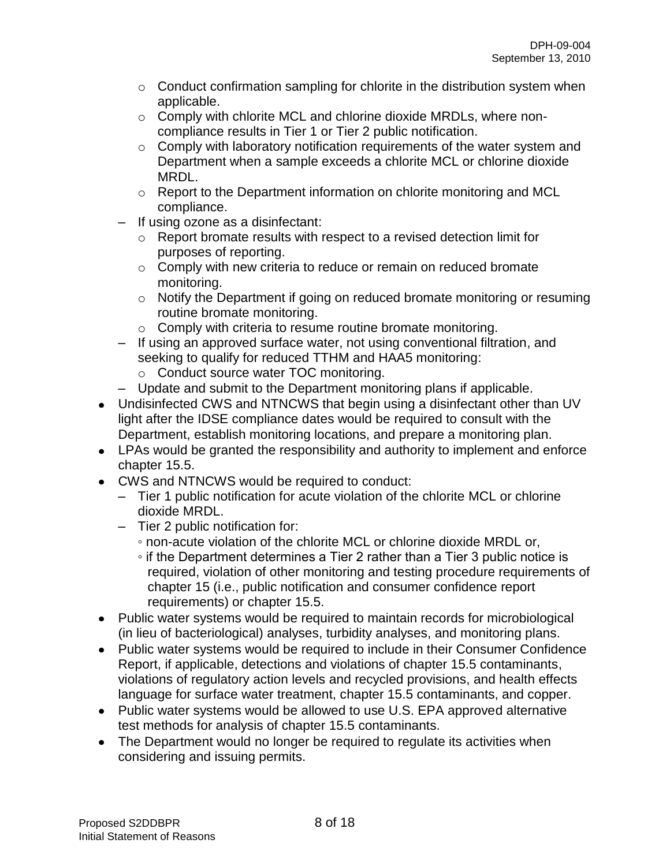- $\circ$  Conduct confirmation sampling for chlorite in the distribution system when applicable.
- o Comply with chlorite MCL and chlorine dioxide MRDLs, where noncompliance results in Tier 1 or Tier 2 public notification.
- $\circ$  Comply with laboratory notification requirements of the water system and Department when a sample exceeds a chlorite MCL or chlorine dioxide MRDL.
- o Report to the Department information on chlorite monitoring and MCL compliance.
- If using ozone as a disinfectant:
	- o Report bromate results with respect to a revised detection limit for purposes of reporting.
	- o Comply with new criteria to reduce or remain on reduced bromate monitoring.
	- o Notify the Department if going on reduced bromate monitoring or resuming routine bromate monitoring.
	- o Comply with criteria to resume routine bromate monitoring.
- If using an approved surface water, not using conventional filtration, and seeking to qualify for reduced TTHM and HAA5 monitoring:
	- o Conduct source water TOC monitoring.
- Update and submit to the Department monitoring plans if applicable.
- Undisinfected CWS and NTNCWS that begin using a disinfectant other than UV light after the IDSE compliance dates would be required to consult with the Department, establish monitoring locations, and prepare a monitoring plan.
- LPAs would be granted the responsibility and authority to implement and enforce chapter 15.5.
- CWS and NTNCWS would be required to conduct:
	- Tier 1 public notification for acute violation of the chlorite MCL or chlorine dioxide MRDL.
	- Tier 2 public notification for:
		- non-acute violation of the chlorite MCL or chlorine dioxide MRDL or,
		- if the Department determines a Tier 2 rather than a Tier 3 public notice is required, violation of other monitoring and testing procedure requirements of chapter 15 (i.e., public notification and consumer confidence report requirements) or chapter 15.5.
- Public water systems would be required to maintain records for microbiological (in lieu of bacteriological) analyses, turbidity analyses, and monitoring plans.
- Public water systems would be required to include in their Consumer Confidence Report, if applicable, detections and violations of chapter 15.5 contaminants, violations of regulatory action levels and recycled provisions, and health effects language for surface water treatment, chapter 15.5 contaminants, and copper.
- Public water systems would be allowed to use U.S. EPA approved alternative test methods for analysis of chapter 15.5 contaminants.
- The Department would no longer be required to regulate its activities when considering and issuing permits.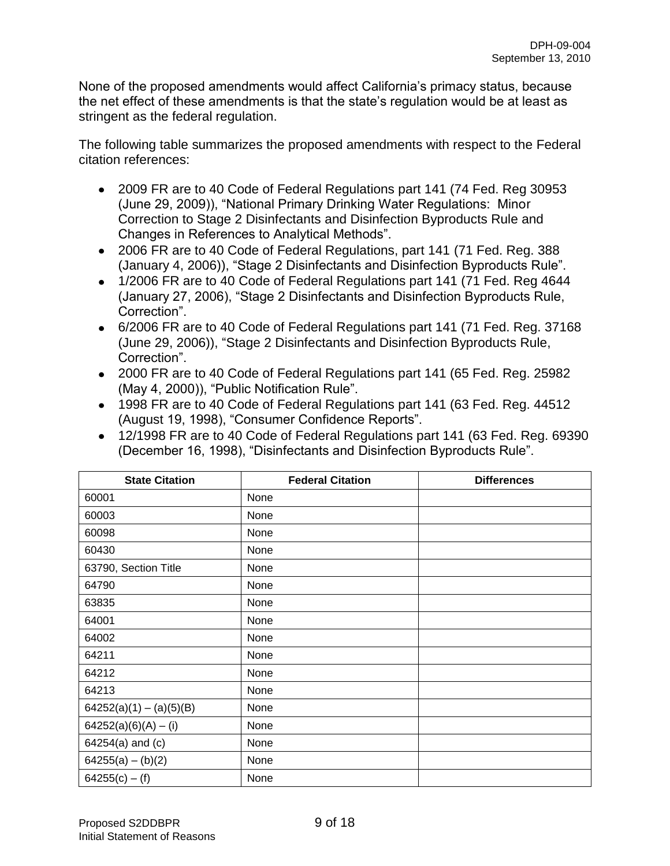None of the proposed amendments would affect California's primacy status, because the net effect of these amendments is that the state's regulation would be at least as stringent as the federal regulation.

The following table summarizes the proposed amendments with respect to the Federal citation references:

- 2009 FR are to 40 Code of Federal Regulations part 141 (74 Fed. Reg 30953 (June 29, 2009)), "National Primary Drinking Water Regulations: Minor Correction to Stage 2 Disinfectants and Disinfection Byproducts Rule and Changes in References to Analytical Methods".
- 2006 FR are to 40 Code of Federal Regulations, part 141 (71 Fed. Reg. 388 (January 4, 2006)), "Stage 2 Disinfectants and Disinfection Byproducts Rule".
- 1/2006 FR are to 40 Code of Federal Regulations part 141 (71 Fed. Reg 4644) (January 27, 2006), "Stage 2 Disinfectants and Disinfection Byproducts Rule, Correction".
- 6/2006 FR are to 40 Code of Federal Regulations part 141 (71 Fed. Reg. 37168 (June 29, 2006)), "Stage 2 Disinfectants and Disinfection Byproducts Rule, Correction".
- 2000 FR are to 40 Code of Federal Regulations part 141 (65 Fed. Reg. 25982 (May 4, 2000)), "Public Notification Rule".
- 1998 FR are to 40 Code of Federal Regulations part 141 (63 Fed. Reg. 44512 (August 19, 1998), "Consumer Confidence Reports".
- 12/1998 FR are to 40 Code of Federal Regulations part 141 (63 Fed. Reg. 69390 (December 16, 1998), "Disinfectants and Disinfection Byproducts Rule".

| <b>State Citation</b>     | <b>Federal Citation</b> | <b>Differences</b> |
|---------------------------|-------------------------|--------------------|
| 60001                     | None                    |                    |
| 60003                     | None                    |                    |
| 60098                     | None                    |                    |
| 60430                     | None                    |                    |
| 63790, Section Title      | None                    |                    |
| 64790                     | None                    |                    |
| 63835                     | None                    |                    |
| 64001                     | None                    |                    |
| 64002                     | None                    |                    |
| 64211                     | None                    |                    |
| 64212                     | None                    |                    |
| 64213                     | None                    |                    |
| $64252(a)(1) - (a)(5)(B)$ | None                    |                    |
| $64252(a)(6)(A) - (i)$    | None                    |                    |
| 64254(a) and (c)          | None                    |                    |
| $64255(a) - (b)(2)$       | None                    |                    |
| $64255(c) - (f)$          | None                    |                    |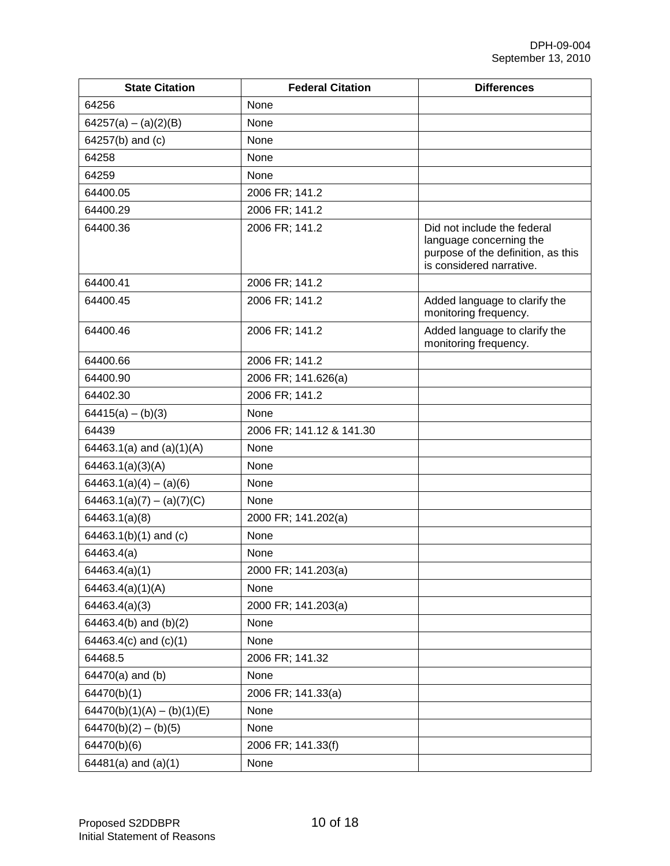| <b>State Citation</b>        | <b>Federal Citation</b>  | <b>Differences</b>                                                                                                       |
|------------------------------|--------------------------|--------------------------------------------------------------------------------------------------------------------------|
| 64256                        | None                     |                                                                                                                          |
| $64257(a) - (a)(2)(B)$       | None                     |                                                                                                                          |
| 64257(b) and (c)             | None                     |                                                                                                                          |
| 64258                        | None                     |                                                                                                                          |
| 64259                        | None                     |                                                                                                                          |
| 64400.05                     | 2006 FR; 141.2           |                                                                                                                          |
| 64400.29                     | 2006 FR; 141.2           |                                                                                                                          |
| 64400.36                     | 2006 FR; 141.2           | Did not include the federal<br>language concerning the<br>purpose of the definition, as this<br>is considered narrative. |
| 64400.41                     | 2006 FR; 141.2           |                                                                                                                          |
| 64400.45                     | 2006 FR; 141.2           | Added language to clarify the<br>monitoring frequency.                                                                   |
| 64400.46                     | 2006 FR; 141.2           | Added language to clarify the<br>monitoring frequency.                                                                   |
| 64400.66                     | 2006 FR; 141.2           |                                                                                                                          |
| 64400.90                     | 2006 FR; 141.626(a)      |                                                                                                                          |
| 64402.30                     | 2006 FR; 141.2           |                                                                                                                          |
| $64415(a) - (b)(3)$          | None                     |                                                                                                                          |
| 64439                        | 2006 FR; 141.12 & 141.30 |                                                                                                                          |
| 64463.1(a) and $(a)(1)(A)$   | None                     |                                                                                                                          |
| 64463.1(a)(3)(A)             | None                     |                                                                                                                          |
| $64463.1(a)(4) - (a)(6)$     | None                     |                                                                                                                          |
| $64463.1(a)(7) - (a)(7)(C)$  | None                     |                                                                                                                          |
| 64463.1(a)(8)                | 2000 FR; 141.202(a)      |                                                                                                                          |
| 64463.1(b)(1) and (c)        | None                     |                                                                                                                          |
| 64463.4(a)                   | None                     |                                                                                                                          |
| 64463.4(a)(1)                | 2000 FR; 141.203(a)      |                                                                                                                          |
| 64463.4(a)(1)(A)             | None                     |                                                                                                                          |
| 64463.4(a)(3)                | 2000 FR; 141.203(a)      |                                                                                                                          |
| 64463.4(b) and $(b)(2)$      | None                     |                                                                                                                          |
| 64463.4(c) and $(c)(1)$      | None                     |                                                                                                                          |
| 64468.5                      | 2006 FR; 141.32          |                                                                                                                          |
| 64470(a) and (b)             | None                     |                                                                                                                          |
| 64470(b)(1)                  | 2006 FR; 141.33(a)       |                                                                                                                          |
| $64470(b)(1)(A) - (b)(1)(E)$ | None                     |                                                                                                                          |
| $64470(b)(2) - (b)(5)$       | None                     |                                                                                                                          |
| 64470(b)(6)                  | 2006 FR; 141.33(f)       |                                                                                                                          |
| $64481(a)$ and $(a)(1)$      | None                     |                                                                                                                          |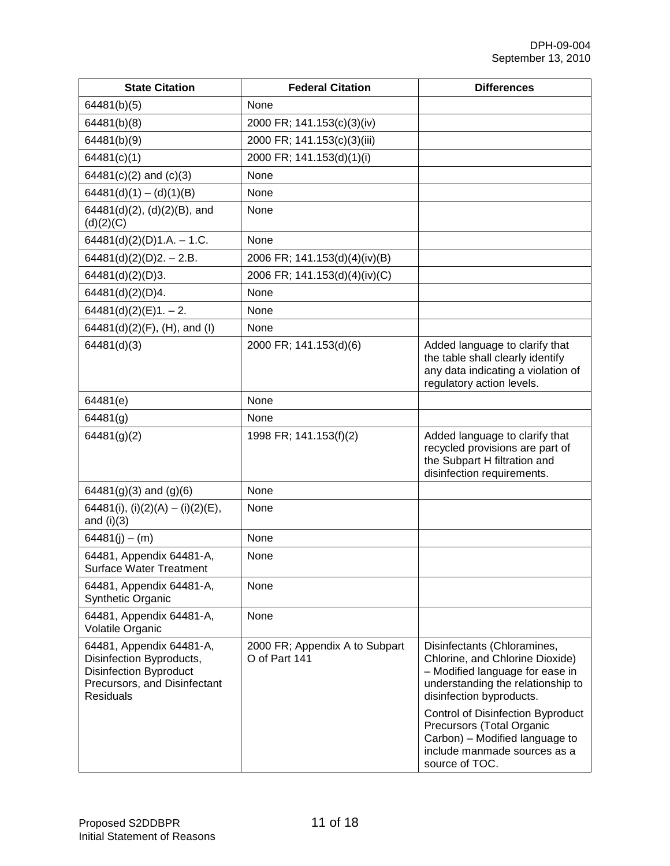| <b>State Citation</b>                                                                                                                     | <b>Federal Citation</b>                         | <b>Differences</b>                                                                                                                                                 |
|-------------------------------------------------------------------------------------------------------------------------------------------|-------------------------------------------------|--------------------------------------------------------------------------------------------------------------------------------------------------------------------|
| 64481(b)(5)                                                                                                                               | None                                            |                                                                                                                                                                    |
| 64481(b)(8)                                                                                                                               | 2000 FR; 141.153(c)(3)(iv)                      |                                                                                                                                                                    |
| 64481(b)(9)                                                                                                                               | 2000 FR; 141.153(c)(3)(iii)                     |                                                                                                                                                                    |
| 64481(c)(1)                                                                                                                               | 2000 FR; 141.153(d)(1)(i)                       |                                                                                                                                                                    |
| $64481(c)(2)$ and $(c)(3)$                                                                                                                | None                                            |                                                                                                                                                                    |
| $64481(d)(1) - (d)(1)(B)$                                                                                                                 | None                                            |                                                                                                                                                                    |
| 64481(d)(2), (d)(2)(B), and<br>(d)(2)(C)                                                                                                  | None                                            |                                                                                                                                                                    |
| 64481(d)(2)(D)1.A. $- 1.C.$                                                                                                               | None                                            |                                                                                                                                                                    |
| $64481(d)(2)(D)2. - 2.B.$                                                                                                                 | 2006 FR; 141.153(d)(4)(iv)(B)                   |                                                                                                                                                                    |
| 64481(d)(2)(D)3.                                                                                                                          | 2006 FR; 141.153(d)(4)(iv)(C)                   |                                                                                                                                                                    |
| 64481(d)(2)(D)4.                                                                                                                          | None                                            |                                                                                                                                                                    |
| $64481(d)(2)(E)1. - 2.$                                                                                                                   | None                                            |                                                                                                                                                                    |
| 64481(d)(2)(F), (H), and (I)                                                                                                              | None                                            |                                                                                                                                                                    |
| 64481(d)(3)                                                                                                                               | 2000 FR; 141.153(d)(6)                          | Added language to clarify that<br>the table shall clearly identify<br>any data indicating a violation of<br>regulatory action levels.                              |
| 64481(e)                                                                                                                                  | None                                            |                                                                                                                                                                    |
| 64481(g)                                                                                                                                  | None                                            |                                                                                                                                                                    |
| 64481(g)(2)                                                                                                                               | 1998 FR; 141.153(f)(2)                          | Added language to clarify that<br>recycled provisions are part of<br>the Subpart H filtration and<br>disinfection requirements.                                    |
| $64481(g)(3)$ and $(g)(6)$                                                                                                                | None                                            |                                                                                                                                                                    |
| 64481(i), (i)(2)(A) - (i)(2)(E),<br>and $(i)(3)$                                                                                          | None                                            |                                                                                                                                                                    |
| $64481(i) - (m)$                                                                                                                          | None                                            |                                                                                                                                                                    |
| 64481, Appendix 64481-A,<br><b>Surface Water Treatment</b>                                                                                | None                                            |                                                                                                                                                                    |
| 64481, Appendix 64481-A,<br>Synthetic Organic                                                                                             | None                                            |                                                                                                                                                                    |
| 64481, Appendix 64481-A,<br>Volatile Organic                                                                                              | None                                            |                                                                                                                                                                    |
| 64481, Appendix 64481-A,<br>Disinfection Byproducts,<br><b>Disinfection Byproduct</b><br>Precursors, and Disinfectant<br><b>Residuals</b> | 2000 FR; Appendix A to Subpart<br>O of Part 141 | Disinfectants (Chloramines,<br>Chlorine, and Chlorine Dioxide)<br>- Modified language for ease in<br>understanding the relationship to<br>disinfection byproducts. |
|                                                                                                                                           |                                                 | <b>Control of Disinfection Byproduct</b><br>Precursors (Total Organic<br>Carbon) - Modified language to<br>include manmade sources as a<br>source of TOC.          |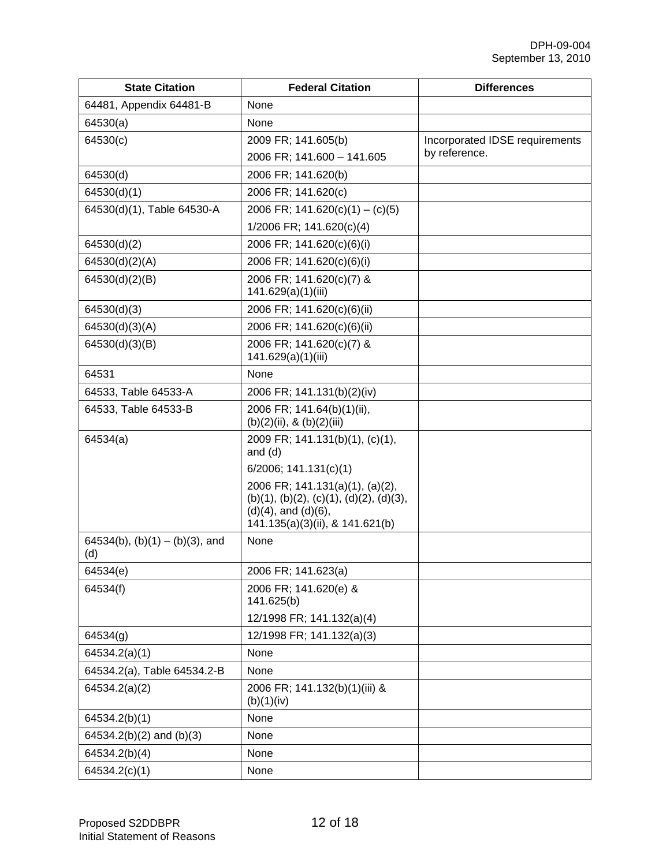| <b>State Citation</b>                    | <b>Federal Citation</b>                                                                                                                      | <b>Differences</b>             |
|------------------------------------------|----------------------------------------------------------------------------------------------------------------------------------------------|--------------------------------|
| 64481, Appendix 64481-B                  | None                                                                                                                                         |                                |
| 64530(a)                                 | None                                                                                                                                         |                                |
| 64530(c)                                 | 2009 FR; 141.605(b)                                                                                                                          | Incorporated IDSE requirements |
|                                          | 2006 FR; 141.600 - 141.605                                                                                                                   | by reference.                  |
| 64530(d)                                 | 2006 FR; 141.620(b)                                                                                                                          |                                |
| 64530(d)(1)                              | 2006 FR; 141.620(c)                                                                                                                          |                                |
| 64530(d)(1), Table 64530-A               | 2006 FR; $141.620(c)(1) - (c)(5)$                                                                                                            |                                |
|                                          | 1/2006 FR; 141.620(c)(4)                                                                                                                     |                                |
| 64530(d)(2)                              | 2006 FR; 141.620(c)(6)(i)                                                                                                                    |                                |
| 64530(d)(2)(A)                           | 2006 FR; 141.620(c)(6)(i)                                                                                                                    |                                |
| 64530(d)(2)(B)                           | 2006 FR; 141.620(c)(7) &<br>141.629(a)(1)(iii)                                                                                               |                                |
| 64530(d)(3)                              | 2006 FR; 141.620(c)(6)(ii)                                                                                                                   |                                |
| 64530(d)(3)(A)                           | 2006 FR; 141.620(c)(6)(ii)                                                                                                                   |                                |
| 64530(d)(3)(B)                           | 2006 FR; 141.620(c)(7) &<br>141.629(a)(1)(iii)                                                                                               |                                |
| 64531                                    | None                                                                                                                                         |                                |
| 64533, Table 64533-A                     | 2006 FR; 141.131(b)(2)(iv)                                                                                                                   |                                |
| 64533, Table 64533-B                     | 2006 FR; 141.64(b)(1)(ii),<br>$(b)(2)(ii)$ , & $(b)(2)(iii)$                                                                                 |                                |
| 64534(a)                                 | 2009 FR; 141.131(b)(1), (c)(1),<br>and $(d)$                                                                                                 |                                |
|                                          | $6/2006$ ; 141.131(c)(1)                                                                                                                     |                                |
|                                          | 2006 FR; 141.131(a)(1), (a)(2),<br>$(b)(1), (b)(2), (c)(1), (d)(2), (d)(3),$<br>$(d)(4)$ , and $(d)(6)$ ,<br>141.135(a)(3)(ii), & 141.621(b) |                                |
| 64534(b), $(b)(1) - (b)(3)$ , and<br>(d) | None                                                                                                                                         |                                |
| 64534(e)                                 | 2006 FR; 141.623(a)                                                                                                                          |                                |
| 64534(f)                                 | 2006 FR; 141.620(e) &<br>141.625(b)                                                                                                          |                                |
|                                          | 12/1998 FR; 141.132(a)(4)                                                                                                                    |                                |
| 64534(g)                                 | 12/1998 FR; 141.132(a)(3)                                                                                                                    |                                |
| 64534.2(a)(1)                            | None                                                                                                                                         |                                |
| 64534.2(a), Table 64534.2-B              | None                                                                                                                                         |                                |
| 64534.2(a)(2)                            | 2006 FR; 141.132(b)(1)(iii) &<br>(b)(1)(iv)                                                                                                  |                                |
| 64534.2(b)(1)                            | None                                                                                                                                         |                                |
| 64534.2(b)(2) and (b)(3)                 | None                                                                                                                                         |                                |
| 64534.2(b)(4)                            | None                                                                                                                                         |                                |
| 64534.2(c)(1)                            | None                                                                                                                                         |                                |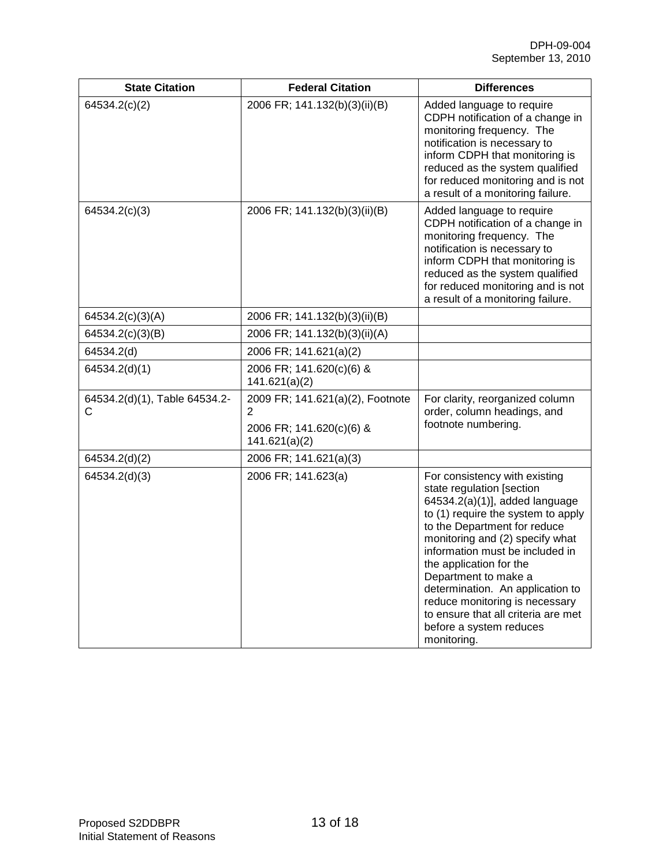| <b>State Citation</b>              | <b>Federal Citation</b>                                                                         | <b>Differences</b>                                                                                                                                                                                                                                                                                                                                                                                                                                 |
|------------------------------------|-------------------------------------------------------------------------------------------------|----------------------------------------------------------------------------------------------------------------------------------------------------------------------------------------------------------------------------------------------------------------------------------------------------------------------------------------------------------------------------------------------------------------------------------------------------|
| 64534.2(c)(2)                      | 2006 FR; 141.132(b)(3)(ii)(B)                                                                   | Added language to require<br>CDPH notification of a change in<br>monitoring frequency. The<br>notification is necessary to<br>inform CDPH that monitoring is<br>reduced as the system qualified<br>for reduced monitoring and is not<br>a result of a monitoring failure.                                                                                                                                                                          |
| 64534.2(c)(3)                      | 2006 FR; 141.132(b)(3)(ii)(B)                                                                   | Added language to require<br>CDPH notification of a change in<br>monitoring frequency. The<br>notification is necessary to<br>inform CDPH that monitoring is<br>reduced as the system qualified<br>for reduced monitoring and is not<br>a result of a monitoring failure.                                                                                                                                                                          |
| 64534.2(c)(3)(A)                   | 2006 FR; 141.132(b)(3)(ii)(B)                                                                   |                                                                                                                                                                                                                                                                                                                                                                                                                                                    |
| 64534.2(c)(3)(B)                   | 2006 FR; 141.132(b)(3)(ii)(A)                                                                   |                                                                                                                                                                                                                                                                                                                                                                                                                                                    |
| 64534.2(d)                         | 2006 FR; 141.621(a)(2)                                                                          |                                                                                                                                                                                                                                                                                                                                                                                                                                                    |
| 64534.2(d)(1)                      | 2006 FR; 141.620(c)(6) &<br>141.621(a)(2)                                                       |                                                                                                                                                                                                                                                                                                                                                                                                                                                    |
| 64534.2(d)(1), Table 64534.2-<br>С | 2009 FR; 141.621(a)(2), Footnote<br>$\overline{2}$<br>2006 FR; 141.620(c)(6) &<br>141.621(a)(2) | For clarity, reorganized column<br>order, column headings, and<br>footnote numbering.                                                                                                                                                                                                                                                                                                                                                              |
| 64534.2(d)(2)                      | 2006 FR; 141.621(a)(3)                                                                          |                                                                                                                                                                                                                                                                                                                                                                                                                                                    |
| 64534.2(d)(3)                      | 2006 FR; 141.623(a)                                                                             | For consistency with existing<br>state regulation [section<br>64534.2(a)(1)], added language<br>to (1) require the system to apply<br>to the Department for reduce<br>monitoring and (2) specify what<br>information must be included in<br>the application for the<br>Department to make a<br>determination. An application to<br>reduce monitoring is necessary<br>to ensure that all criteria are met<br>before a system reduces<br>monitoring. |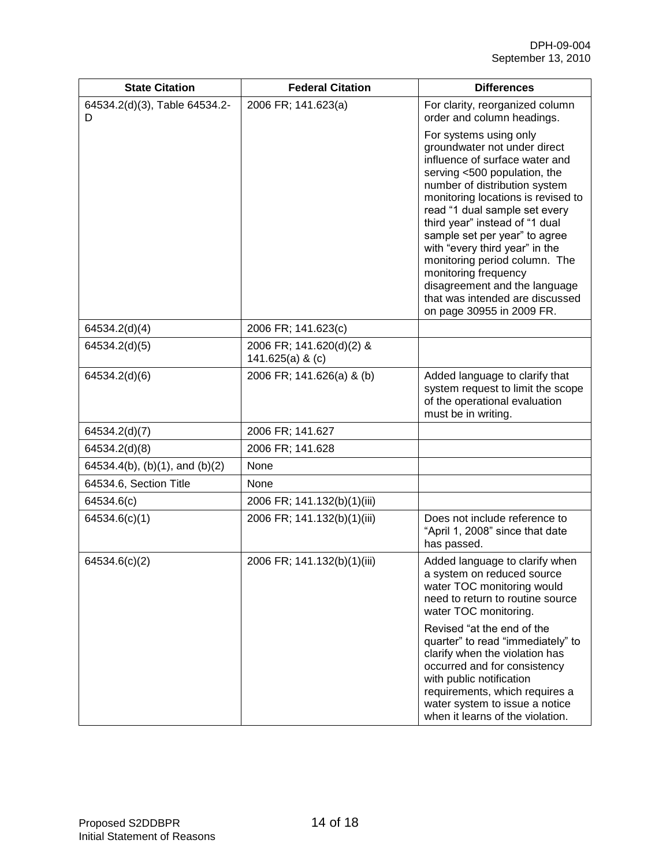| <b>State Citation</b>              | <b>Federal Citation</b>                        | <b>Differences</b>                                                                                                                                                                                                                                                                                                                                                                                                                                                                              |
|------------------------------------|------------------------------------------------|-------------------------------------------------------------------------------------------------------------------------------------------------------------------------------------------------------------------------------------------------------------------------------------------------------------------------------------------------------------------------------------------------------------------------------------------------------------------------------------------------|
| 64534.2(d)(3), Table 64534.2-<br>D | 2006 FR; 141.623(a)                            | For clarity, reorganized column<br>order and column headings.                                                                                                                                                                                                                                                                                                                                                                                                                                   |
|                                    |                                                | For systems using only<br>groundwater not under direct<br>influence of surface water and<br>serving <500 population, the<br>number of distribution system<br>monitoring locations is revised to<br>read "1 dual sample set every<br>third year" instead of "1 dual<br>sample set per year" to agree<br>with "every third year" in the<br>monitoring period column. The<br>monitoring frequency<br>disagreement and the language<br>that was intended are discussed<br>on page 30955 in 2009 FR. |
| 64534.2(d)(4)                      | 2006 FR; 141.623(c)                            |                                                                                                                                                                                                                                                                                                                                                                                                                                                                                                 |
| 64534.2(d)(5)                      | 2006 FR; 141.620(d)(2) &<br>141.625(a) & $(c)$ |                                                                                                                                                                                                                                                                                                                                                                                                                                                                                                 |
| 64534.2(d)(6)                      | 2006 FR; 141.626(a) & (b)                      | Added language to clarify that<br>system request to limit the scope<br>of the operational evaluation<br>must be in writing.                                                                                                                                                                                                                                                                                                                                                                     |
| 64534.2(d)(7)                      | 2006 FR; 141.627                               |                                                                                                                                                                                                                                                                                                                                                                                                                                                                                                 |
| 64534.2(d)(8)                      | 2006 FR; 141.628                               |                                                                                                                                                                                                                                                                                                                                                                                                                                                                                                 |
| 64534.4(b), (b)(1), and (b)(2)     | None                                           |                                                                                                                                                                                                                                                                                                                                                                                                                                                                                                 |
| 64534.6, Section Title             | None                                           |                                                                                                                                                                                                                                                                                                                                                                                                                                                                                                 |
| 64534.6(c)                         | 2006 FR; 141.132(b)(1)(iii)                    |                                                                                                                                                                                                                                                                                                                                                                                                                                                                                                 |
| 64534.6(c)(1)                      | 2006 FR; 141.132(b)(1)(iii)                    | Does not include reference to<br>"April 1, 2008" since that date<br>has passed.                                                                                                                                                                                                                                                                                                                                                                                                                 |
| 64534.6(c)(2)                      | 2006 FR; 141.132(b)(1)(iii)                    | Added language to clarify when<br>a system on reduced source<br>water TOC monitoring would<br>need to return to routine source<br>water TOC monitoring.                                                                                                                                                                                                                                                                                                                                         |
|                                    |                                                | Revised "at the end of the<br>quarter" to read "immediately" to<br>clarify when the violation has<br>occurred and for consistency<br>with public notification<br>requirements, which requires a<br>water system to issue a notice<br>when it learns of the violation.                                                                                                                                                                                                                           |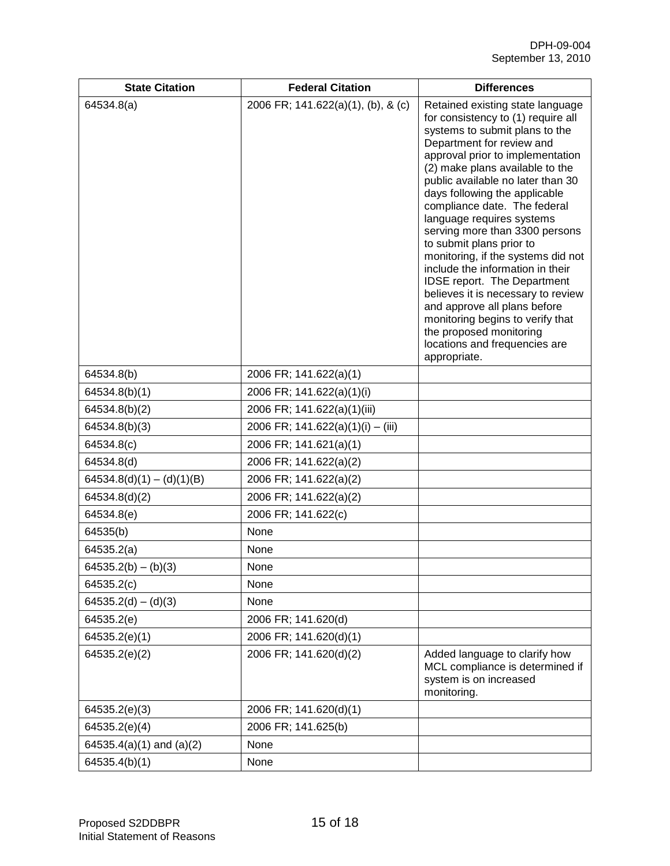| <b>State Citation</b>       | <b>Federal Citation</b>            | <b>Differences</b>                                                                                                                                                                                                                                                                                                                                                                                                                                                                                                                                                                                                                                                                                                  |
|-----------------------------|------------------------------------|---------------------------------------------------------------------------------------------------------------------------------------------------------------------------------------------------------------------------------------------------------------------------------------------------------------------------------------------------------------------------------------------------------------------------------------------------------------------------------------------------------------------------------------------------------------------------------------------------------------------------------------------------------------------------------------------------------------------|
| 64534.8(a)                  | 2006 FR; 141.622(a)(1), (b), & (c) | Retained existing state language<br>for consistency to (1) require all<br>systems to submit plans to the<br>Department for review and<br>approval prior to implementation<br>(2) make plans available to the<br>public available no later than 30<br>days following the applicable<br>compliance date. The federal<br>language requires systems<br>serving more than 3300 persons<br>to submit plans prior to<br>monitoring, if the systems did not<br>include the information in their<br><b>IDSE report. The Department</b><br>believes it is necessary to review<br>and approve all plans before<br>monitoring begins to verify that<br>the proposed monitoring<br>locations and frequencies are<br>appropriate. |
| 64534.8(b)                  | 2006 FR; 141.622(a)(1)             |                                                                                                                                                                                                                                                                                                                                                                                                                                                                                                                                                                                                                                                                                                                     |
| 64534.8(b)(1)               | 2006 FR; 141.622(a)(1)(i)          |                                                                                                                                                                                                                                                                                                                                                                                                                                                                                                                                                                                                                                                                                                                     |
| 64534.8(b)(2)               | 2006 FR; 141.622(a)(1)(iii)        |                                                                                                                                                                                                                                                                                                                                                                                                                                                                                                                                                                                                                                                                                                                     |
| 64534.8(b)(3)               | 2006 FR; 141.622(a)(1)(i) - (iii)  |                                                                                                                                                                                                                                                                                                                                                                                                                                                                                                                                                                                                                                                                                                                     |
| 64534.8(c)                  | 2006 FR; 141.621(a)(1)             |                                                                                                                                                                                                                                                                                                                                                                                                                                                                                                                                                                                                                                                                                                                     |
| 64534.8(d)                  | 2006 FR; 141.622(a)(2)             |                                                                                                                                                                                                                                                                                                                                                                                                                                                                                                                                                                                                                                                                                                                     |
| $64534.8(d)(1) - (d)(1)(B)$ | 2006 FR; 141.622(a)(2)             |                                                                                                                                                                                                                                                                                                                                                                                                                                                                                                                                                                                                                                                                                                                     |
| 64534.8(d)(2)               | 2006 FR; 141.622(a)(2)             |                                                                                                                                                                                                                                                                                                                                                                                                                                                                                                                                                                                                                                                                                                                     |
| 64534.8(e)                  | 2006 FR; 141.622(c)                |                                                                                                                                                                                                                                                                                                                                                                                                                                                                                                                                                                                                                                                                                                                     |
| 64535(b)                    | None                               |                                                                                                                                                                                                                                                                                                                                                                                                                                                                                                                                                                                                                                                                                                                     |
| 64535.2(a)                  | None                               |                                                                                                                                                                                                                                                                                                                                                                                                                                                                                                                                                                                                                                                                                                                     |
| $64535.2(b) - (b)(3)$       | None                               |                                                                                                                                                                                                                                                                                                                                                                                                                                                                                                                                                                                                                                                                                                                     |
| 64535.2(c)                  | None                               |                                                                                                                                                                                                                                                                                                                                                                                                                                                                                                                                                                                                                                                                                                                     |
| $64535.2(d) - (d)(3)$       | None                               |                                                                                                                                                                                                                                                                                                                                                                                                                                                                                                                                                                                                                                                                                                                     |
| 64535.2(e)                  | 2006 FR; 141.620(d)                |                                                                                                                                                                                                                                                                                                                                                                                                                                                                                                                                                                                                                                                                                                                     |
| 64535.2(e)(1)               | 2006 FR; 141.620(d)(1)             |                                                                                                                                                                                                                                                                                                                                                                                                                                                                                                                                                                                                                                                                                                                     |
| 64535.2(e)(2)               | 2006 FR; 141.620(d)(2)             | Added language to clarify how<br>MCL compliance is determined if<br>system is on increased<br>monitoring.                                                                                                                                                                                                                                                                                                                                                                                                                                                                                                                                                                                                           |
| 64535.2(e)(3)               | 2006 FR; 141.620(d)(1)             |                                                                                                                                                                                                                                                                                                                                                                                                                                                                                                                                                                                                                                                                                                                     |
| 64535.2(e)(4)               | 2006 FR; 141.625(b)                |                                                                                                                                                                                                                                                                                                                                                                                                                                                                                                                                                                                                                                                                                                                     |
| 64535.4(a)(1) and (a)(2)    | None                               |                                                                                                                                                                                                                                                                                                                                                                                                                                                                                                                                                                                                                                                                                                                     |
| 64535.4(b)(1)               | None                               |                                                                                                                                                                                                                                                                                                                                                                                                                                                                                                                                                                                                                                                                                                                     |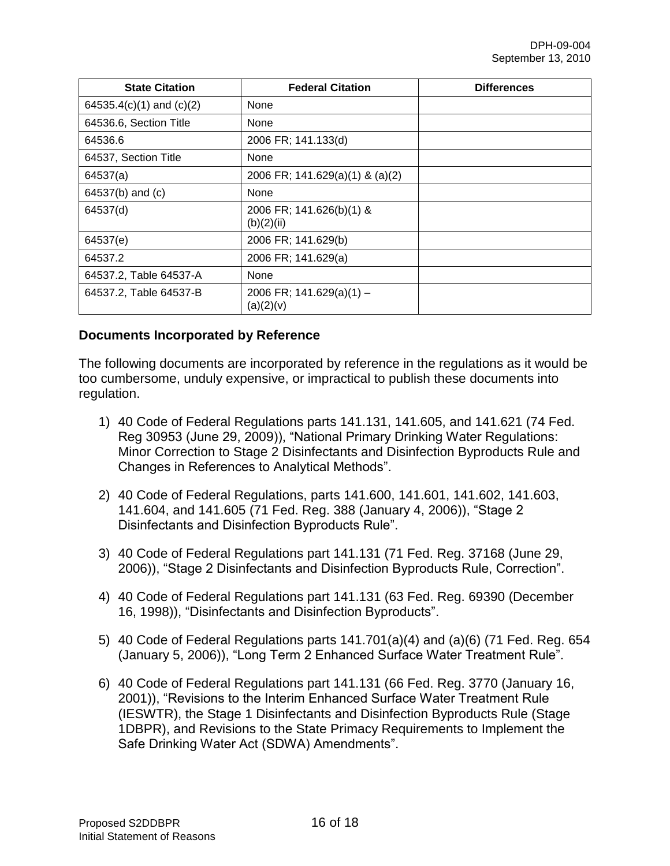| <b>State Citation</b>    | <b>Federal Citation</b>                 | <b>Differences</b> |
|--------------------------|-----------------------------------------|--------------------|
| 64535.4(c)(1) and (c)(2) | None                                    |                    |
| 64536.6, Section Title   | None                                    |                    |
| 64536.6                  | 2006 FR; 141.133(d)                     |                    |
| 64537, Section Title     | None                                    |                    |
| 64537(a)                 | 2006 FR; 141.629(a)(1) & (a)(2)         |                    |
| 64537(b) and (c)         | <b>None</b>                             |                    |
| 64537(d)                 | 2006 FR; 141.626(b)(1) &<br>(b)(2)(ii)  |                    |
| 64537(e)                 | 2006 FR; 141.629(b)                     |                    |
| 64537.2                  | 2006 FR; 141.629(a)                     |                    |
| 64537.2, Table 64537-A   | None                                    |                    |
| 64537.2, Table 64537-B   | 2006 FR; $141.629(a)(1) -$<br>(a)(2)(v) |                    |

#### **Documents Incorporated by Reference**

The following documents are incorporated by reference in the regulations as it would be too cumbersome, unduly expensive, or impractical to publish these documents into regulation.

- 1) 40 Code of Federal Regulations parts 141.131, 141.605, and 141.621 (74 Fed. Reg 30953 (June 29, 2009)), "National Primary Drinking Water Regulations: Minor Correction to Stage 2 Disinfectants and Disinfection Byproducts Rule and Changes in References to Analytical Methods".
- 2) 40 Code of Federal Regulations, parts 141.600, 141.601, 141.602, 141.603, 141.604, and 141.605 (71 Fed. Reg. 388 (January 4, 2006)), "Stage 2 Disinfectants and Disinfection Byproducts Rule".
- 3) 40 Code of Federal Regulations part 141.131 (71 Fed. Reg. 37168 (June 29, 2006)), "Stage 2 Disinfectants and Disinfection Byproducts Rule, Correction".
- 4) 40 Code of Federal Regulations part 141.131 (63 Fed. Reg. 69390 (December 16, 1998)), "Disinfectants and Disinfection Byproducts".
- 5) 40 Code of Federal Regulations parts 141.701(a)(4) and (a)(6) (71 Fed. Reg. 654 (January 5, 2006)), "Long Term 2 Enhanced Surface Water Treatment Rule".
- 6) 40 Code of Federal Regulations part 141.131 (66 Fed. Reg. 3770 (January 16, 2001)), "Revisions to the Interim Enhanced Surface Water Treatment Rule (IESWTR), the Stage 1 Disinfectants and Disinfection Byproducts Rule (Stage 1DBPR), and Revisions to the State Primacy Requirements to Implement the Safe Drinking Water Act (SDWA) Amendments".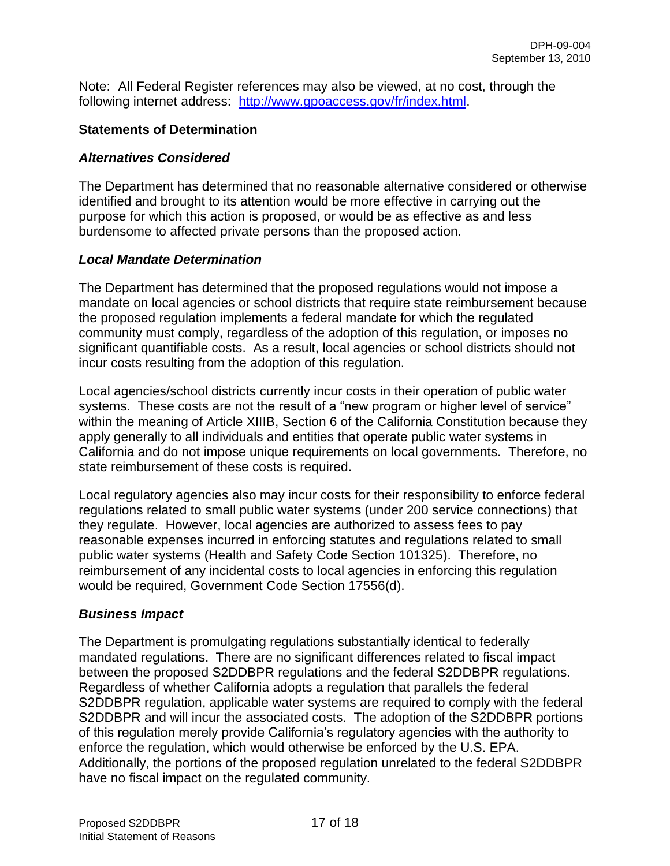Note: All Federal Register references may also be viewed, at no cost, through the following internet address: [http://www.gpoaccess.gov/fr/index.html.](http://www.gpoaccess.gov/fr/index.html)

### **Statements of Determination**

### *Alternatives Considered*

The Department has determined that no reasonable alternative considered or otherwise identified and brought to its attention would be more effective in carrying out the purpose for which this action is proposed, or would be as effective as and less burdensome to affected private persons than the proposed action.

### *Local Mandate Determination*

The Department has determined that the proposed regulations would not impose a mandate on local agencies or school districts that require state reimbursement because the proposed regulation implements a federal mandate for which the regulated community must comply, regardless of the adoption of this regulation, or imposes no significant quantifiable costs. As a result, local agencies or school districts should not incur costs resulting from the adoption of this regulation.

Local agencies/school districts currently incur costs in their operation of public water systems. These costs are not the result of a "new program or higher level of service" within the meaning of Article XIIIB, Section 6 of the California Constitution because they apply generally to all individuals and entities that operate public water systems in California and do not impose unique requirements on local governments. Therefore, no state reimbursement of these costs is required.

Local regulatory agencies also may incur costs for their responsibility to enforce federal regulations related to small public water systems (under 200 service connections) that they regulate. However, local agencies are authorized to assess fees to pay reasonable expenses incurred in enforcing statutes and regulations related to small public water systems (Health and Safety Code Section 101325). Therefore, no reimbursement of any incidental costs to local agencies in enforcing this regulation would be required, Government Code Section 17556(d).

# *Business Impact*

The Department is promulgating regulations substantially identical to federally mandated regulations. There are no significant differences related to fiscal impact between the proposed S2DDBPR regulations and the federal S2DDBPR regulations. Regardless of whether California adopts a regulation that parallels the federal S2DDBPR regulation, applicable water systems are required to comply with the federal S2DDBPR and will incur the associated costs. The adoption of the S2DDBPR portions of this regulation merely provide California's regulatory agencies with the authority to enforce the regulation, which would otherwise be enforced by the U.S. EPA. Additionally, the portions of the proposed regulation unrelated to the federal S2DDBPR have no fiscal impact on the regulated community.